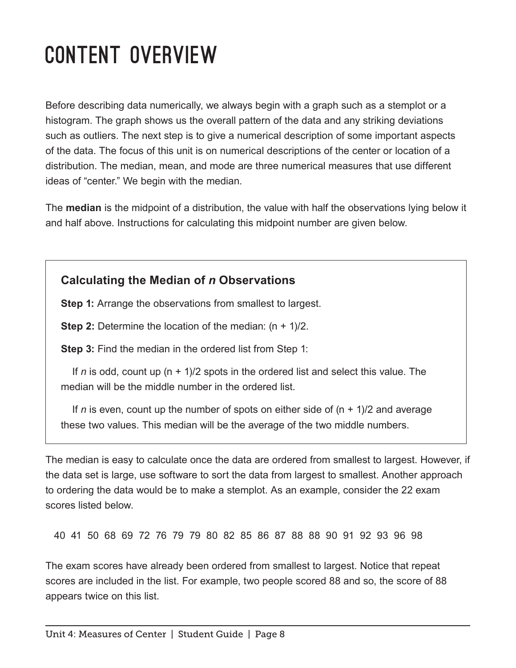## Content Overview

Before describing data numerically, we always begin with a graph such as a stemplot or a histogram. The graph shows us the overall pattern of the data and any striking deviations such as outliers. The next step is to give a numerical description of some important aspects of the data. The focus of this unit is on numerical descriptions of the center or location of a distribution. The median, mean, and mode are three numerical measures that use different ideas of "center." We begin with the median.

The **median** is the midpoint of a distribution, the value with half the observations lying below it and half above. Instructions for calculating this midpoint number are given below.

## **Calculating the Median of** *n* **Observations**

**Step 1:** Arrange the observations from smallest to largest.

**Step 2:** Determine the location of the median:  $(n + 1)/2$ .

**Step 3:** Find the median in the ordered list from Step 1:

If *n* is odd, count up (n + 1)/2 spots in the ordered list and select this value. The median will be the middle number in the ordered list.

If *n* is even, count up the number of spots on either side of  $(n + 1)/2$  and average these two values. This median will be the average of the two middle numbers.

The median is easy to calculate once the data are ordered from smallest to largest. However, if the data set is large, use software to sort the data from largest to smallest. Another approach to ordering the data would be to make a stemplot. As an example, consider the 22 exam scores listed below.

40 41 50 68 69 72 76 79 79 80 82 85 86 87 88 88 90 91 92 93 96 98

The exam scores have already been ordered from smallest to largest. Notice that repeat scores are included in the list. For example, two people scored 88 and so, the score of 88 appears twice on this list.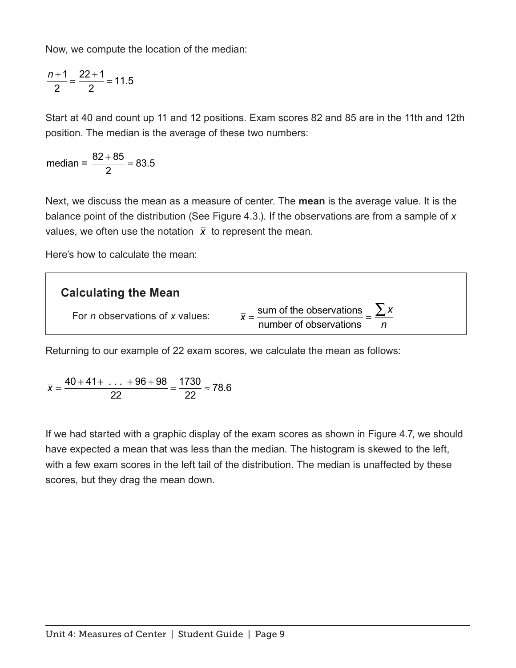Now, we compute the location of the median:

$$
\frac{n+1}{2} = \frac{22+1}{2} = 11.5
$$

Start at 40 and count up 11 and 12 positions. Exam scores 82 and 85 are in the 11th and 12th position. The median is the average of these two numbers:

median =  $\frac{82 + 85}{8}$  = 2 83.5

Next, we discuss the mean as a measure of center. The **mean** is the average value. It is the balance point of the distribution (See Figure 4.3.). If the observations are from a sample of *x* values, we often use the notation  $\bar{x}$  to represent the mean.

Here's how to calculate the mean:



Returning to our example of 22 exam scores, we calculate the mean as follows:

$$
\overline{x} = \frac{40 + 41 + \ldots + 96 + 98}{22} = \frac{1730}{22} \approx 78.6
$$

If we had started with a graphic display of the exam scores as shown in Figure 4.7, we should have expected a mean that was less than the median. The histogram is skewed to the left, with a few exam scores in the left tail of the distribution. The median is unaffected by these scores, but they drag the mean down.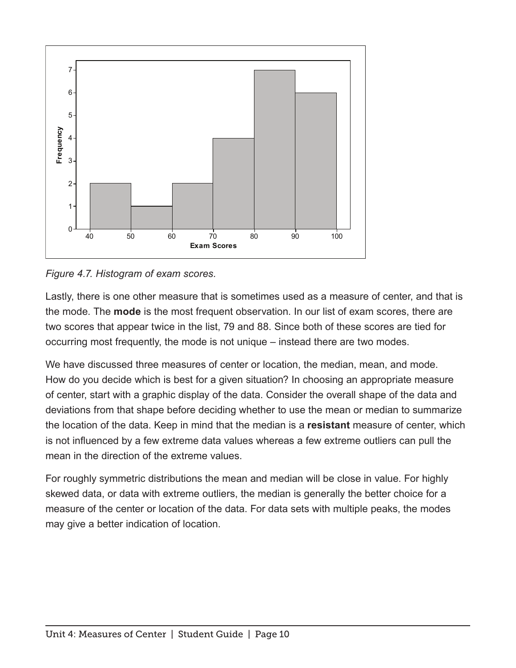

*Figure 4.7. Histogram of exam scores.*

Lastly, there is one other measure that is sometimes used as a measure of center, and that is the mode. The **mode** is the most frequent observation. In our list of exam scores, there are two scores that appear twice in the list, 79 and 88. Since both of these scores are tied for occurring most frequently, the mode is not unique – instead there are two modes.

We have discussed three measures of center or location, the median, mean, and mode. How do you decide which is best for a given situation? In choosing an appropriate measure of center, start with a graphic display of the data. Consider the overall shape of the data and deviations from that shape before deciding whether to use the mean or median to summarize the location of the data. Keep in mind that the median is a **resistant** measure of center, which is not infuenced by a few extreme data values whereas a few extreme outliers can pull the mean in the direction of the extreme values.

For roughly symmetric distributions the mean and median will be close in value. For highly skewed data, or data with extreme outliers, the median is generally the better choice for a measure of the center or location of the data. For data sets with multiple peaks, the modes may give a better indication of location.